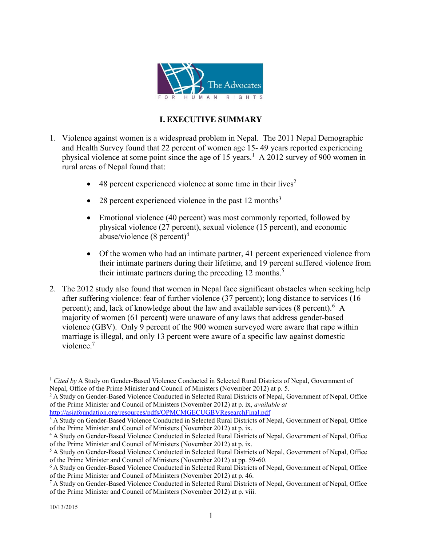

# **I. EXECUTIVE SUMMARY**

- 1. Violence against women is a widespread problem in Nepal. The 2011 Nepal Demographic and Health Survey found that 22 percent of women age 15- 49 years reported experiencing physical violence at some point since the age of 15 years.<sup>1</sup> A 2012 survey of 900 women in rural areas of Nepal found that:
	- $\bullet$  48 percent experienced violence at some time in their lives<sup>2</sup>
	- 28 percent experienced violence in the past 12 months<sup>3</sup>
	- Emotional violence (40 percent) was most commonly reported, followed by physical violence (27 percent), sexual violence (15 percent), and economic abuse/violence  $(8 \text{ percent})^4$
	- Of the women who had an intimate partner, 41 percent experienced violence from their intimate partners during their lifetime, and 19 percent suffered violence from their intimate partners during the preceding 12 months. 5
- 2. The 2012 study also found that women in Nepal face significant obstacles when seeking help after suffering violence: fear of further violence (37 percent); long distance to services (16 percent); and, lack of knowledge about the law and available services (8 percent). <sup>6</sup> A majority of women (61 percent) were unaware of any laws that address gender-based violence (GBV). Only 9 percent of the 900 women surveyed were aware that rape within marriage is illegal, and only 13 percent were aware of a specific law against domestic violence<sup>7</sup>

 <sup>1</sup> *Cited by* A Study on Gender-Based Violence Conducted in Selected Rural Districts of Nepal, Government of Nepal, Office of the Prime Minister and Council of Ministers (November 2012) at p. 5.

<sup>&</sup>lt;sup>2</sup> A Study on Gender-Based Violence Conducted in Selected Rural Districts of Nepal, Government of Nepal, Office of the Prime Minister and Council of Ministers (November 2012) at p. ix, *available at* http://asiafoundation.org/resources/pdfs/OPMCMGECUGBVResearchFinal.pdf

<sup>&</sup>lt;sup>3</sup> A Study on Gender-Based Violence Conducted in Selected Rural Districts of Nepal, Government of Nepal, Office of the Prime Minister and Council of Ministers (November 2012) at p. ix.

<sup>4</sup> A Study on Gender-Based Violence Conducted in Selected Rural Districts of Nepal, Government of Nepal, Office of the Prime Minister and Council of Ministers (November 2012) at p. ix.

<sup>5</sup> A Study on Gender-Based Violence Conducted in Selected Rural Districts of Nepal, Government of Nepal, Office of the Prime Minister and Council of Ministers (November 2012) at pp. 59-60.

<sup>6</sup> A Study on Gender-Based Violence Conducted in Selected Rural Districts of Nepal, Government of Nepal, Office of the Prime Minister and Council of Ministers (November 2012) at p. 46.

<sup>7</sup> A Study on Gender-Based Violence Conducted in Selected Rural Districts of Nepal, Government of Nepal, Office of the Prime Minister and Council of Ministers (November 2012) at p. viii.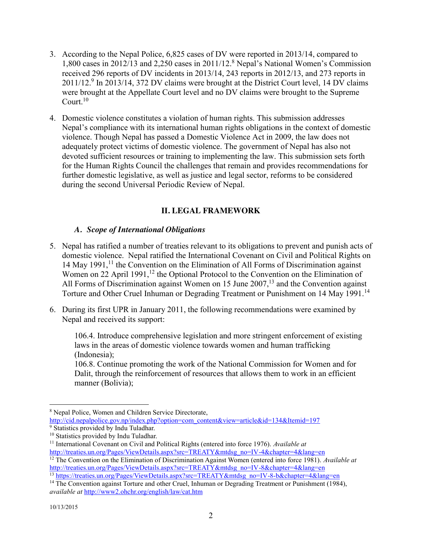- 3. According to the Nepal Police, 6,825 cases of DV were reported in 2013/14, compared to 1,800 cases in 2012/13 and 2,250 cases in 2011/12.<sup>8</sup> Nepal's National Women's Commission received 296 reports of DV incidents in 2013/14, 243 reports in 2012/13, and 273 reports in 2011/12.<sup>9</sup> In 2013/14, 372 DV claims were brought at the District Court level, 14 DV claims were brought at the Appellate Court level and no DV claims were brought to the Supreme Court. $10$
- 4. Domestic violence constitutes a violation of human rights. This submission addresses Nepal's compliance with its international human rights obligations in the context of domestic violence. Though Nepal has passed a Domestic Violence Act in 2009, the law does not adequately protect victims of domestic violence. The government of Nepal has also not devoted sufficient resources or training to implementing the law. This submission sets forth for the Human Rights Council the challenges that remain and provides recommendations for further domestic legislative, as well as justice and legal sector, reforms to be considered during the second Universal Periodic Review of Nepal.

# **II. LEGAL FRAMEWORK**

#### *A. Scope of International Obligations*

- 5. Nepal has ratified a number of treaties relevant to its obligations to prevent and punish acts of domestic violence. Nepal ratified the International Covenant on Civil and Political Rights on 14 May 1991,<sup>11</sup> the Convention on the Elimination of All Forms of Discrimination against Women on  $22$  April 1991,<sup>12</sup> the Optional Protocol to the Convention on the Elimination of All Forms of Discrimination against Women on 15 June  $2007$ ,<sup>13</sup> and the Convention against Torture and Other Cruel Inhuman or Degrading Treatment or Punishment on 14 May 1991.<sup>14</sup>
- 6. During its first UPR in January 2011, the following recommendations were examined by Nepal and received its support:

106.4. Introduce comprehensive legislation and more stringent enforcement of existing laws in the areas of domestic violence towards women and human trafficking (Indonesia);

106.8. Continue promoting the work of the National Commission for Women and for Dalit, through the reinforcement of resources that allows them to work in an efficient manner (Bolivia);

 <sup>8</sup> Nepal Police, Women and Children Service Directorate,

http://cid.nepalpolice.gov.np/index.php?option=com\_content&view=article&id=134&Itemid=197 <sup>9</sup> Statistics provided by Indu Tuladhar.

<sup>&</sup>lt;sup>10</sup> Statistics provided by Indu Tuladhar.

<sup>11</sup> International Covenant on Civil and Political Rights (entered into force 1976). *Available at* http://treaties.un.org/Pages/ViewDetails.aspx?src=TREATY&mtdsg\_no=IV-4&chapter=4&lang=en

<sup>&</sup>lt;sup>12</sup> The Convention on the Elimination of Discrimination Against Women (entered into force 1981). *Available at* http://treaties.un.org/Pages/ViewDetails.aspx?src=TREATY&mtdsg\_no=IV-8&chapter=4&lang=en <sup>13</sup> https://treaties.un.org/Pages/ViewDetails.aspx?src=TREATY&mtdsg\_no=IV-8-b&chapter=4&lang=en

<sup>&</sup>lt;sup>14</sup> The Convention against Torture and other Cruel, Inhuman or Degrading Treatment or Punishment (1984), *available at* http://www2.ohchr.org/english/law/cat.htm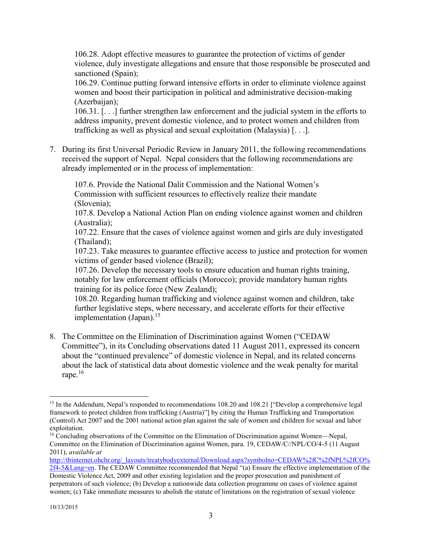106.28. Adopt effective measures to guarantee the protection of victims of gender violence, duly investigate allegations and ensure that those responsible be prosecuted and sanctioned (Spain);

106.29. Continue putting forward intensive efforts in order to eliminate violence against women and boost their participation in political and administrative decision-making (Azerbaijan);

106.31. [. . .] further strengthen law enforcement and the judicial system in the efforts to address impunity, prevent domestic violence, and to protect women and children from trafficking as well as physical and sexual exploitation (Malaysia) [. . .].

7. During its first Universal Periodic Review in January 2011, the following recommendations received the support of Nepal. Nepal considers that the following recommendations are already implemented or in the process of implementation:

107.6. Provide the National Dalit Commission and the National Women's Commission with sufficient resources to effectively realize their mandate (Slovenia);

107.8. Develop a National Action Plan on ending violence against women and children (Australia);

107.22. Ensure that the cases of violence against women and girls are duly investigated (Thailand);

107.23. Take measures to guarantee effective access to justice and protection for women victims of gender based violence (Brazil);

107.26. Develop the necessary tools to ensure education and human rights training, notably for law enforcement officials (Morocco); provide mandatory human rights training for its police force (New Zealand);

108.20. Regarding human trafficking and violence against women and children, take further legislative steps, where necessary, and accelerate efforts for their effective implementation (Japan).<sup>15</sup>

8. The Committee on the Elimination of Discrimination against Women ("CEDAW Committee"), in its Concluding observations dated 11 August 2011, expressed its concern about the "continued prevalence" of domestic violence in Nepal, and its related concerns about the lack of statistical data about domestic violence and the weak penalty for marital rape.<sup>16</sup>

<sup>&</sup>lt;sup>15</sup> In the Addendum, Nepal's responded to recommendations 108.20 and 108.21 ["Develop a comprehensive legal framework to protect children from trafficking (Austria)"] by citing the Human Trafficking and Transportation (Control) Act 2007 and the 2001 national action plan against the sale of women and children for sexual and labor exploitation.

<sup>&</sup>lt;sup>16</sup> Concluding observations of the Committee on the Elimination of Discrimination against Women—Nepal, Committee on the Elimination of Discrimination against Women, para. 19, CEDAW/C//NPL/CO/4-5 (11 August 2011), *available at*

http://tbinternet.ohchr.org/\_layouts/treatybodyexternal/Download.aspx?symbolno=CEDAW%2fC%2fNPL%2fCO% 2f4-5&Lang=en. The CEDAW Committee recommended that Nepal "(a) Ensure the effective implementation of the Domestic Violence Act, 2009 and other existing legislation and the proper prosecution and punishment of perpetrators of such violence; (b) Develop a nationwide data collection programme on cases of violence against women; (c) Take immediate measures to abolish the statute of limitations on the registration of sexual violence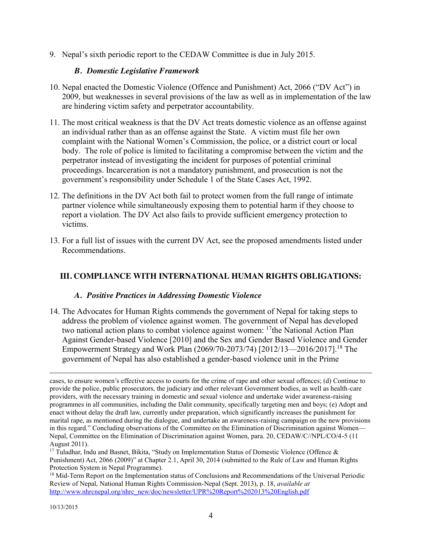9. Nepal's sixth periodic report to the CEDAW Committee is due in July 2015.

#### *B. Domestic Legislative Framework*

- 10. Nepal enacted the Domestic Violence (Offence and Punishment) Act, 2066 ("DV Act") in 2009, but weaknesses in several provisions of the law as well as in implementation of the law are hindering victim safety and perpetrator accountability.
- 11. The most critical weakness is that the DV Act treats domestic violence as an offense against an individual rather than as an offense against the State. A victim must file her own complaint with the National Women's Commission, the police, or a district court or local body. The role of police is limited to facilitating a compromise between the victim and the perpetrator instead of investigating the incident for purposes of potential criminal proceedings. Incarceration is not a mandatory punishment, and prosecution is not the government's responsibility under Schedule 1 of the State Cases Act, 1992.
- 12. The definitions in the DV Act both fail to protect women from the full range of intimate partner violence while simultaneously exposing them to potential harm if they choose to report a violation. The DV Act also fails to provide sufficient emergency protection to victims.
- 13. For a full list of issues with the current DV Act, see the proposed amendments listed under Recommendations.

#### **III. COMPLIANCE WITH INTERNATIONAL HUMAN RIGHTS OBLIGATIONS:**

#### *A. Positive Practices in Addressing Domestic Violence*

14. The Advocates for Human Rights commends the government of Nepal for taking steps to address the problem of violence against women. The government of Nepal has developed two national action plans to combat violence against women: <sup>17</sup>the National Action Plan Against Gender-based Violence [2010] and the Sex and Gender Based Violence and Gender Empowerment Strategy and Work Plan (2069/70-2073/74) [2012/13—2016/2017].18 The government of Nepal has also established a gender-based violence unit in the Prime

 $\overline{a}$ 

cases, to ensure women's effective access to courts for the crime of rape and other sexual offences; (d) Continue to provide the police, public prosecutors, the judiciary and other relevant Government bodies, as well as health-care providers, with the necessary training in domestic and sexual violence and undertake wider awareness-raising programmes in all communities, including the Dalit community, specifically targeting men and boys; (e) Adopt and enact without delay the draft law, currently under preparation, which significantly increases the punishment for marital rape, as mentioned during the dialogue, and undertake an awareness-raising campaign on the new provisions in this regard." Concluding observations of the Committee on the Elimination of Discrimination against Women— Nepal, Committee on the Elimination of Discrimination against Women, para. 20, CEDAW/C//NPL/CO/4-5 (11 August 2011).

<sup>&</sup>lt;sup>17</sup> Tuladhar, Indu and Basnet, Bikita, "Study on Implementation Status of Domestic Violence (Offence  $\&$ Punishment) Act, 2066 (2009)" at Chapter 2.1, April 30, 2014 (submitted to the Rule of Law and Human Rights Protection System in Nepal Programme).

<sup>&</sup>lt;sup>18</sup> Mid-Term Report on the Implementation status of Conclusions and Recommendations of the Universal Periodic Review of Nepal, National Human Rights Commission-Nepal (Sept. 2013), p. 18, *available at*  http://www.nhrcnepal.org/nhrc\_new/doc/newsletter/UPR%20Report%202013%20English.pdf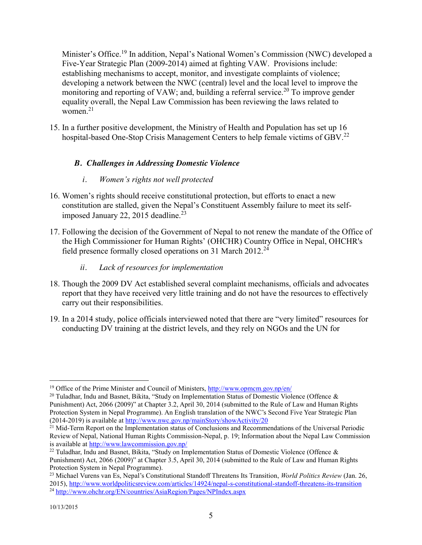Minister's Office.<sup>19</sup> In addition, Nepal's National Women's Commission (NWC) developed a Five-Year Strategic Plan (2009-2014) aimed at fighting VAW. Provisions include: establishing mechanisms to accept, monitor, and investigate complaints of violence; developing a network between the NWC (central) level and the local level to improve the monitoring and reporting of VAW; and, building a referral service.<sup>20</sup> To improve gender equality overall, the Nepal Law Commission has been reviewing the laws related to women $21$ 

15. In a further positive development, the Ministry of Health and Population has set up 16 hospital-based One-Stop Crisis Management Centers to help female victims of GBV.<sup>22</sup>

# *B. Challenges in Addressing Domestic Violence*

# *i. Women's rights not well protected*

- 16. Women's rights should receive constitutional protection, but efforts to enact a new constitution are stalled, given the Nepal's Constituent Assembly failure to meet its selfimposed January 22, 2015 deadline. $^{23}$
- 17. Following the decision of the Government of Nepal to not renew the mandate of the Office of the High Commissioner for Human Rights' (OHCHR) Country Office in Nepal, OHCHR's field presence formally closed operations on 31 March 2012.<sup>24</sup>
	- *ii. Lack of resources for implementation*
- 18. Though the 2009 DV Act established several complaint mechanisms, officials and advocates report that they have received very little training and do not have the resources to effectively carry out their responsibilities.
- 19. In a 2014 study, police officials interviewed noted that there are "very limited" resources for conducting DV training at the district levels, and they rely on NGOs and the UN for

<sup>&</sup>lt;sup>19</sup> Office of the Prime Minister and Council of Ministers,  $http://www.opmcm.gov,np/en/$ 

<sup>&</sup>lt;sup>20</sup> Tuladhar, Indu and Basnet, Bikita, "Study on Implementation Status of Domestic Violence (Offence & Punishment) Act, 2066 (2009)" at Chapter 3.2, April 30, 2014 (submitted to the Rule of Law and Human Rights Protection System in Nepal Programme). An English translation of the NWC's Second Five Year Strategic Plan (2014-2019) is available at http://www.nwc.gov.np/mainStory/showActivity/20

<sup>&</sup>lt;sup>21</sup> Mid-Term Report on the Implementation status of Conclusions and Recommendations of the Universal Periodic Review of Nepal, National Human Rights Commission-Nepal, p. 19; Information about the Nepal Law Commission is available at http://www.lawcommission.gov.np/

<sup>&</sup>lt;sup>22</sup> Tuladhar, Indu and Basnet, Bikita, "Study on Implementation Status of Domestic Violence (Offence & Punishment) Act, 2066 (2009)" at Chapter 3.5, April 30, 2014 (submitted to the Rule of Law and Human Rights Protection System in Nepal Programme).

<sup>23</sup> Michael Vurens van Es, Nepal's Constitutional Standoff Threatens Its Transition, *World Politics Review* (Jan. 26, 2015), http://www.worldpoliticsreview.com/articles/14924/nepal-s-constitutional-standoff-threatens-its-transition <sup>24</sup> http://www.ohchr.org/EN/countries/AsiaRegion/Pages/NPIndex.aspx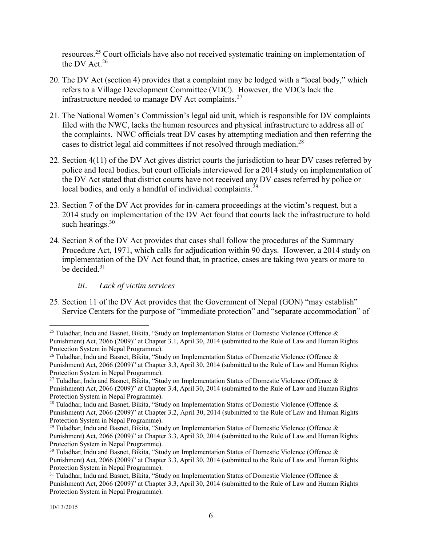resources.<sup>25</sup> Court officials have also not received systematic training on implementation of the DV Act.  $26$ 

- 20. The DV Act (section 4) provides that a complaint may be lodged with a "local body," which refers to a Village Development Committee (VDC). However, the VDCs lack the infrastructure needed to manage DV Act complaints.<sup>27</sup>
- 21. The National Women's Commission's legal aid unit, which is responsible for DV complaints filed with the NWC, lacks the human resources and physical infrastructure to address all of the complaints. NWC officials treat DV cases by attempting mediation and then referring the cases to district legal aid committees if not resolved through mediation.<sup>28</sup>
- 22. Section 4(11) of the DV Act gives district courts the jurisdiction to hear DV cases referred by police and local bodies, but court officials interviewed for a 2014 study on implementation of the DV Act stated that district courts have not received any DV cases referred by police or local bodies, and only a handful of individual complaints.<sup>29</sup>
- 23. Section 7 of the DV Act provides for in-camera proceedings at the victim's request, but a 2014 study on implementation of the DV Act found that courts lack the infrastructure to hold such hearings. $30$
- 24. Section 8 of the DV Act provides that cases shall follow the procedures of the Summary Procedure Act, 1971, which calls for adjudication within 90 days. However, a 2014 study on implementation of the DV Act found that, in practice, cases are taking two years or more to be decided. $31$ 
	- *iii. Lack of victim services*
- 25. Section 11 of the DV Act provides that the Government of Nepal (GON) "may establish" Service Centers for the purpose of "immediate protection" and "separate accommodation" of

<sup>&</sup>lt;sup>25</sup> Tuladhar, Indu and Basnet, Bikita, "Study on Implementation Status of Domestic Violence (Offence  $\&$ Punishment) Act, 2066 (2009)" at Chapter 3.1, April 30, 2014 (submitted to the Rule of Law and Human Rights Protection System in Nepal Programme).

<sup>&</sup>lt;sup>26</sup> Tuladhar, Indu and Basnet, Bikita, "Study on Implementation Status of Domestic Violence (Offence & Punishment) Act, 2066 (2009)" at Chapter 3.3, April 30, 2014 (submitted to the Rule of Law and Human Rights Protection System in Nepal Programme).

<sup>&</sup>lt;sup>27</sup> Tuladhar, Indu and Basnet, Bikita, "Study on Implementation Status of Domestic Violence (Offence  $\&$ Punishment) Act, 2066 (2009)" at Chapter 3.4, April 30, 2014 (submitted to the Rule of Law and Human Rights Protection System in Nepal Programme).

<sup>&</sup>lt;sup>28</sup> Tuladhar, Indu and Basnet, Bikita, "Study on Implementation Status of Domestic Violence (Offence  $\&$ Punishment) Act, 2066 (2009)" at Chapter 3.2, April 30, 2014 (submitted to the Rule of Law and Human Rights Protection System in Nepal Programme).

<sup>&</sup>lt;sup>29</sup> Tuladhar, Indu and Basnet, Bikita, "Study on Implementation Status of Domestic Violence (Offence & Punishment) Act, 2066 (2009)" at Chapter 3.3, April 30, 2014 (submitted to the Rule of Law and Human Rights Protection System in Nepal Programme).

 $30$  Tuladhar, Indu and Basnet, Bikita, "Study on Implementation Status of Domestic Violence (Offence  $\&$ Punishment) Act, 2066 (2009)" at Chapter 3.3, April 30, 2014 (submitted to the Rule of Law and Human Rights Protection System in Nepal Programme).

<sup>&</sup>lt;sup>31</sup> Tuladhar, Indu and Basnet, Bikita, "Study on Implementation Status of Domestic Violence (Offence & Punishment) Act, 2066 (2009)" at Chapter 3.3, April 30, 2014 (submitted to the Rule of Law and Human Rights Protection System in Nepal Programme).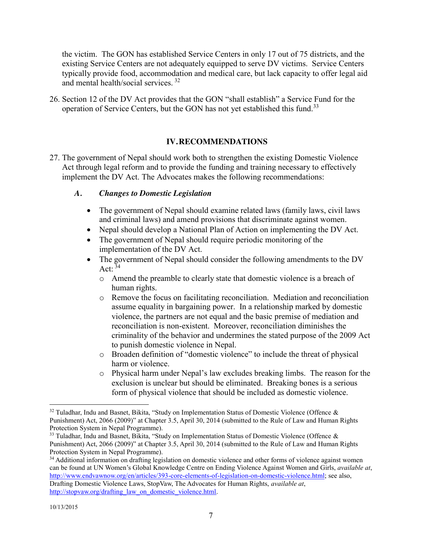the victim. The GON has established Service Centers in only 17 out of 75 districts, and the existing Service Centers are not adequately equipped to serve DV victims. Service Centers typically provide food, accommodation and medical care, but lack capacity to offer legal aid and mental health/social services. 32

26. Section 12 of the DV Act provides that the GON "shall establish" a Service Fund for the operation of Service Centers, but the GON has not yet established this fund.<sup>33</sup>

#### **IV.RECOMMENDATIONS**

27. The government of Nepal should work both to strengthen the existing Domestic Violence Act through legal reform and to provide the funding and training necessary to effectively implement the DV Act. The Advocates makes the following recommendations:

#### *A. Changes to Domestic Legislation*

- The government of Nepal should examine related laws (family laws, civil laws) and criminal laws) and amend provisions that discriminate against women.
- Nepal should develop a National Plan of Action on implementing the DV Act.
- $\bullet$  The government of Nepal should require periodic monitoring of the implementation of the DV Act.
- The government of Nepal should consider the following amendments to the DV Act:  $34$ 
	- o Amend the preamble to clearly state that domestic violence is a breach of human rights.
	- o Remove the focus on facilitating reconciliation. Mediation and reconciliation assume equality in bargaining power. In a relationship marked by domestic violence, the partners are not equal and the basic premise of mediation and reconciliation is non-existent. Moreover, reconciliation diminishes the criminality of the behavior and undermines the stated purpose of the 2009 Act to punish domestic violence in Nepal.
	- o Broaden definition of "domestic violence" to include the threat of physical harm or violence.
	- o Physical harm under Nepal's law excludes breaking limbs. The reason for the exclusion is unclear but should be eliminated. Breaking bones is a serious form of physical violence that should be included as domestic violence.

 $32$  Tuladhar, Indu and Basnet, Bikita, "Study on Implementation Status of Domestic Violence (Offence  $\&$ Punishment) Act, 2066 (2009)" at Chapter 3.5, April 30, 2014 (submitted to the Rule of Law and Human Rights Protection System in Nepal Programme).

<sup>&</sup>lt;sup>33</sup> Tuladhar, Indu and Basnet, Bikita, "Study on Implementation Status of Domestic Violence (Offence & Punishment) Act, 2066 (2009)" at Chapter 3.5, April 30, 2014 (submitted to the Rule of Law and Human Rights Protection System in Nepal Programme).

<sup>&</sup>lt;sup>34</sup> Additional information on drafting legislation on domestic violence and other forms of violence against women can be found at UN Women's Global Knowledge Centre on Ending Violence Against Women and Girls, *available at*, http://www.endvawnow.org/en/articles/393-core-elements-of-legislation-on-domestic-violence.html; see also, Drafting Domestic Violence Laws, StopVaw, The Advocates for Human Rights, *available at*, http://stopvaw.org/drafting\_law\_on\_domestic\_violence.html.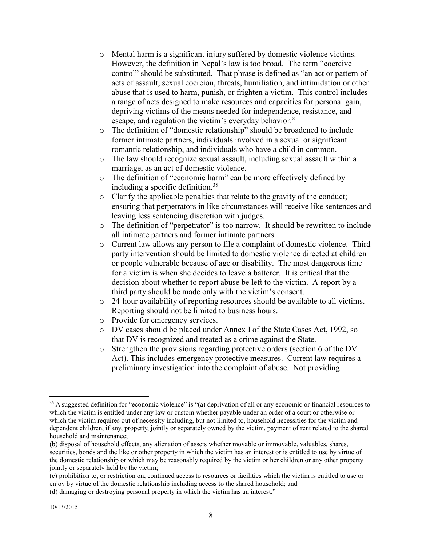- o Mental harm is a significant injury suffered by domestic violence victims. However, the definition in Nepal's law is too broad. The term "coercive control" should be substituted. That phrase is defined as "an act or pattern of acts of assault, sexual coercion, threats, humiliation, and intimidation or other abuse that is used to harm, punish, or frighten a victim. This control includes a range of acts designed to make resources and capacities for personal gain, depriving victims of the means needed for independence, resistance, and escape, and regulation the victim's everyday behavior."
- o The definition of "domestic relationship" should be broadened to include former intimate partners, individuals involved in a sexual or significant romantic relationship, and individuals who have a child in common.
- o The law should recognize sexual assault, including sexual assault within a marriage, as an act of domestic violence.
- o The definition of "economic harm" can be more effectively defined by including a specific definition. 35
- o Clarify the applicable penalties that relate to the gravity of the conduct; ensuring that perpetrators in like circumstances will receive like sentences and leaving less sentencing discretion with judges.
- o The definition of "perpetrator" is too narrow. It should be rewritten to include all intimate partners and former intimate partners.
- o Current law allows any person to file a complaint of domestic violence. Third party intervention should be limited to domestic violence directed at children or people vulnerable because of age or disability. The most dangerous time for a victim is when she decides to leave a batterer. It is critical that the decision about whether to report abuse be left to the victim. A report by a third party should be made only with the victim's consent.
- o 24-hour availability of reporting resources should be available to all victims. Reporting should not be limited to business hours.
- o Provide for emergency services.
- o DV cases should be placed under Annex I of the State Cases Act, 1992, so that DV is recognized and treated as a crime against the State.
- o Strengthen the provisions regarding protective orders (section 6 of the DV Act). This includes emergency protective measures. Current law requires a preliminary investigation into the complaint of abuse. Not providing

<sup>&</sup>lt;sup>35</sup> A suggested definition for "economic violence" is "(a) deprivation of all or any economic or financial resources to which the victim is entitled under any law or custom whether payable under an order of a court or otherwise or which the victim requires out of necessity including, but not limited to, household necessities for the victim and dependent children, if any, property, jointly or separately owned by the victim, payment of rent related to the shared household and maintenance;

<sup>(</sup>b) disposal of household effects, any alienation of assets whether movable or immovable, valuables, shares, securities, bonds and the like or other property in which the victim has an interest or is entitled to use by virtue of the domestic relationship or which may be reasonably required by the victim or her children or any other property jointly or separately held by the victim;

<sup>(</sup>c) prohibition to, or restriction on, continued access to resources or facilities which the victim is entitled to use or enjoy by virtue of the domestic relationship including access to the shared household; and

<sup>(</sup>d) damaging or destroying personal property in which the victim has an interest."